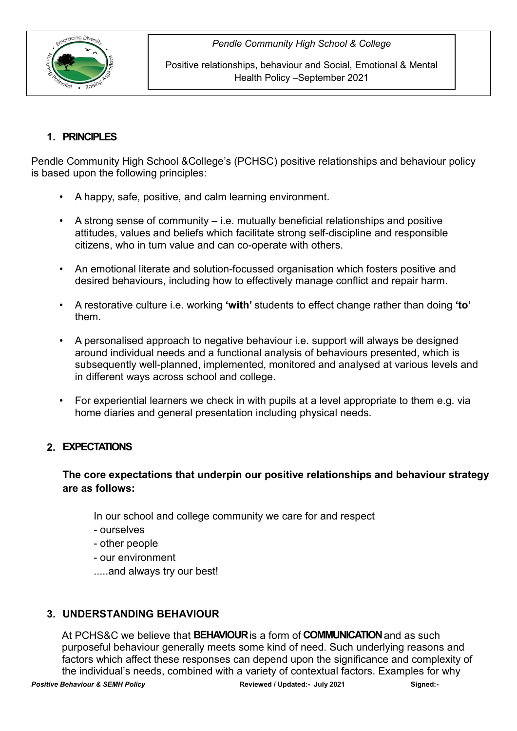

Positive relationships, behaviour and Social, Emotional & Mental Health Policy –September 2021

# **1. PRINCIPLES**

Pendle Community High School &College's (PCHSC) positive relationships and behaviour policy is based upon the following principles:

- A happy, safe, positive, and calm learning environment.
- A strong sense of community i.e. mutually beneficial relationships and positive attitudes, values and beliefs which facilitate strong self-discipline and responsible citizens, who in turn value and can co-operate with others.
- An emotional literate and solution-focussed organisation which fosters positive and desired behaviours, including how to effectively manage conflict and repair harm.
- A restorative culture i.e. working **'with'** students to effect change rather than doing **'to'**  them.
- A personalised approach to negative behaviour i.e. support will always be designed around individual needs and a functional analysis of behaviours presented, which is subsequently well-planned, implemented, monitored and analysed at various levels and in different ways across school and college.
- For experiential learners we check in with pupils at a level appropriate to them e.g. via home diaries and general presentation including physical needs.

# **2. EXPECTATIONS**

### **The core expectations that underpin our positive relationships and behaviour strategy are as follows:**

In our school and college community we care for and respect

- ourselves
- other people
- our environment
- .....and always try our best!

# **3. UNDERSTANDING BEHAVIOUR**

*Positive Behaviour & SEMH Policy* **Reviewed / Updated:- July 2021 Signed:-** At PCHS&C we believe that **BEHAVIOUR** is a form of **COMMUNICATION**and as such purposeful behaviour generally meets some kind of need. Such underlying reasons and factors which affect these responses can depend upon the significance and complexity of the individual's needs, combined with a variety of contextual factors. Examples for why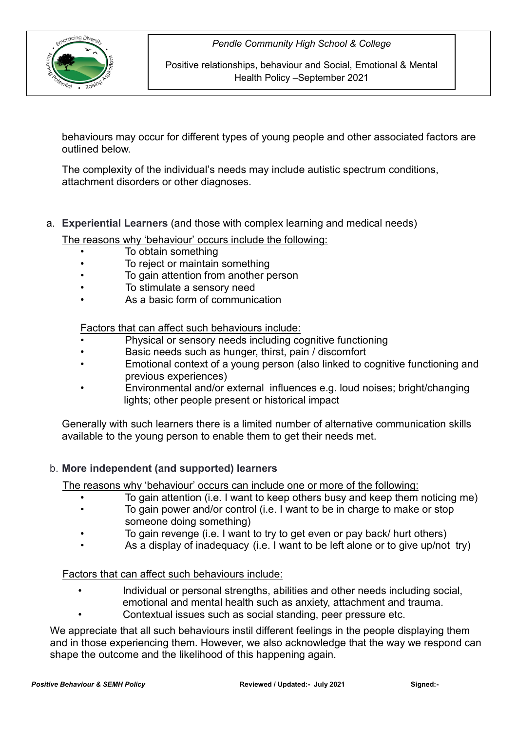

Positive relationships, behaviour and Social, Emotional & Mental Health Policy –September 2021

behaviours may occur for different types of young people and other associated factors are outlined below.

The complexity of the individual's needs may include autistic spectrum conditions, attachment disorders or other diagnoses.

a. **Experiential Learners** (and those with complex learning and medical needs)

The reasons why 'behaviour' occurs include the following:

- To obtain something
- To reject or maintain something
- To gain attention from another person
- To stimulate a sensory need
- As a basic form of communication

Factors that can affect such behaviours include:

- Physical or sensory needs including cognitive functioning
- Basic needs such as hunger, thirst, pain / discomfort
- Emotional context of a young person (also linked to cognitive functioning and previous experiences)
- Environmental and/or external influences e.g. loud noises; bright/changing lights; other people present or historical impact

Generally with such learners there is a limited number of alternative communication skills available to the young person to enable them to get their needs met.

### b. **More independent (and supported) learners**

The reasons why 'behaviour' occurs can include one or more of the following:

- To gain attention (i.e. I want to keep others busy and keep them noticing me)
- To gain power and/or control (i.e. I want to be in charge to make or stop someone doing something)
- To gain revenge (i.e. I want to try to get even or pay back/ hurt others)
- As a display of inadequacy (i.e. I want to be left alone or to give up/not try)

Factors that can affect such behaviours include:

- Individual or personal strengths, abilities and other needs including social, emotional and mental health such as anxiety, attachment and trauma.
- Contextual issues such as social standing, peer pressure etc.

We appreciate that all such behaviours instil different feelings in the people displaying them and in those experiencing them. However, we also acknowledge that the way we respond can shape the outcome and the likelihood of this happening again.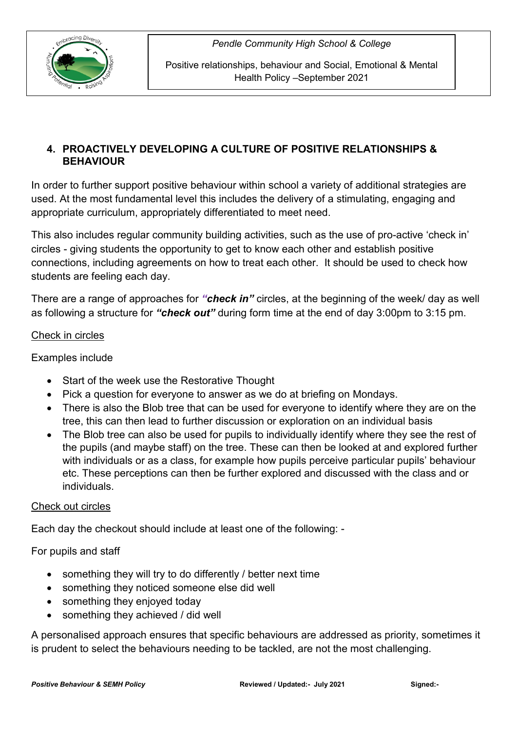

Positive relationships, behaviour and Social, Emotional & Mental Health Policy –September 2021

## **4. PROACTIVELY DEVELOPING A CULTURE OF POSITIVE RELATIONSHIPS & BEHAVIOUR**

In order to further support positive behaviour within school a variety of additional strategies are used. At the most fundamental level this includes the delivery of a stimulating, engaging and appropriate curriculum, appropriately differentiated to meet need.

This also includes regular community building activities, such as the use of pro-active 'check in' circles - giving students the opportunity to get to know each other and establish positive connections, including agreements on how to treat each other. It should be used to check how students are feeling each day.

There are a range of approaches for *"check in"* circles, at the beginning of the week/ day as well as following a structure for *"check out"* during form time at the end of day 3:00pm to 3:15 pm.

### Check in circles

### Examples include

- Start of the week use the Restorative Thought
- Pick a question for everyone to answer as we do at briefing on Mondays.
- There is also the Blob tree that can be used for everyone to identify where they are on the tree, this can then lead to further discussion or exploration on an individual basis
- The Blob tree can also be used for pupils to individually identify where they see the rest of the pupils (and maybe staff) on the tree. These can then be looked at and explored further with individuals or as a class, for example how pupils perceive particular pupils' behaviour etc. These perceptions can then be further explored and discussed with the class and or individuals.

### Check out circles

Each day the checkout should include at least one of the following: -

### For pupils and staff

- something they will try to do differently / better next time
- something they noticed someone else did well
- something they enjoyed today
- something they achieved / did well

A personalised approach ensures that specific behaviours are addressed as priority, sometimes it is prudent to select the behaviours needing to be tackled, are not the most challenging.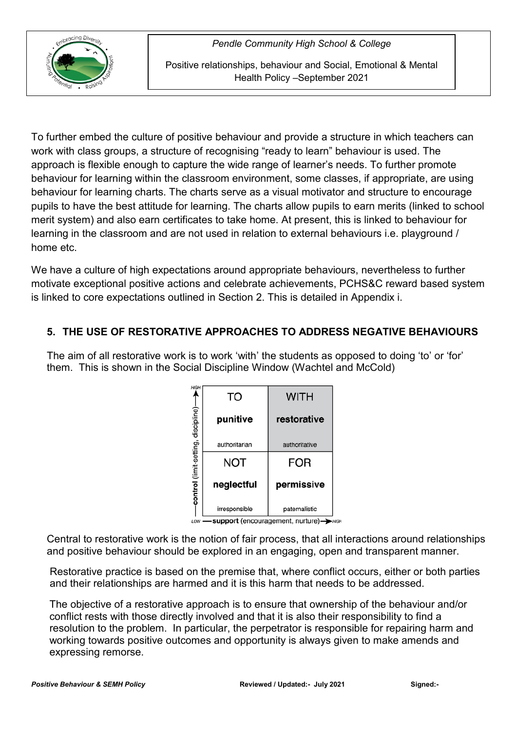

Positive relationships, behaviour and Social, Emotional & Mental Health Policy –September 2021

To further embed the culture of positive behaviour and provide a structure in which teachers can work with class groups, a structure of recognising "ready to learn" behaviour is used. The approach is flexible enough to capture the wide range of learner's needs. To further promote behaviour for learning within the classroom environment, some classes, if appropriate, are using behaviour for learning charts. The charts serve as a visual motivator and structure to encourage pupils to have the best attitude for learning. The charts allow pupils to earn merits (linked to school merit system) and also earn certificates to take home. At present, this is linked to behaviour for learning in the classroom and are not used in relation to external behaviours i.e. playground / home etc.

We have a culture of high expectations around appropriate behaviours, nevertheless to further motivate exceptional positive actions and celebrate achievements, PCHS&C reward based system is linked to core expectations outlined in Section 2. This is detailed in Appendix i.

# **5. THE USE OF RESTORATIVE APPROACHES TO ADDRESS NEGATIVE BEHAVIOURS**

The aim of all restorative work is to work 'with' the students as opposed to doing 'to' or 'for' them. This is shown in the Social Discipline Window (Wachtel and McCold)

| ₩GH                                   | то            | <b>WITH</b>   |
|---------------------------------------|---------------|---------------|
| -control (limit-setting, discipline)- | punitive      | restorative   |
|                                       | authoritarian | authoritative |
|                                       | NOT           | FOR           |
|                                       | neglectful    | permissive    |
|                                       | irresponsible | paternalistic |

LOW -support (encouragement, nurture)->HIGH

Central to restorative work is the notion of fair process, that all interactions around relationships and positive behaviour should be explored in an engaging, open and transparent manner.

Restorative practice is based on the premise that, where conflict occurs, either or both parties and their relationships are harmed and it is this harm that needs to be addressed.

The objective of a restorative approach is to ensure that ownership of the behaviour and/or conflict rests with those directly involved and that it is also their responsibility to find a resolution to the problem. In particular, the perpetrator is responsible for repairing harm and working towards positive outcomes and opportunity is always given to make amends and expressing remorse.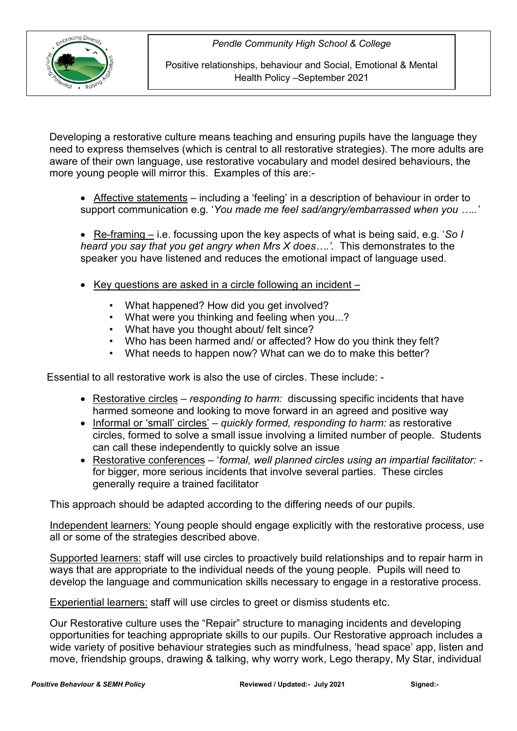

Positive relationships, behaviour and Social, Emotional & Mental Health Policy –September 2021

Developing a restorative culture means teaching and ensuring pupils have the language they need to express themselves (which is central to all restorative strategies). The more adults are aware of their own language, use restorative vocabulary and model desired behaviours, the more young people will mirror this. Examples of this are:-

• Affective statements – including a 'feeling' in a description of behaviour in order to support communication e.g. '*You made me feel sad/angry/embarrassed when you …..'*

• Re-framing – i.e. focussing upon the key aspects of what is being said, e.g. '*So I heard you say that you get angry when Mrs X does….'.* This demonstrates to the speaker you have listened and reduces the emotional impact of language used.

- Key questions are asked in a circle following an incident
	- What happened? How did you get involved?
	- What were you thinking and feeling when you...?
	- What have you thought about/ felt since?
	- Who has been harmed and/ or affected? How do you think they felt?
	- What needs to happen now? What can we do to make this better?

Essential to all restorative work is also the use of circles. These include: -

- Restorative circles *responding to harm:* discussing specific incidents that have harmed someone and looking to move forward in an agreed and positive way
- Informal or 'small' circles' *quickly formed, responding to harm:* as restorative circles, formed to solve a small issue involving a limited number of people. Students can call these independently to quickly solve an issue
- Restorative conferences '*formal, well planned circles using an impartial facilitator:*  for bigger, more serious incidents that involve several parties. These circles generally require a trained facilitator

This approach should be adapted according to the differing needs of our pupils.

Independent learners: Young people should engage explicitly with the restorative process, use all or some of the strategies described above.

Supported learners: staff will use circles to proactively build relationships and to repair harm in ways that are appropriate to the individual needs of the young people. Pupils will need to develop the language and communication skills necessary to engage in a restorative process.

Experiential learners: staff will use circles to greet or dismiss students etc.

Our Restorative culture uses the "Repair" structure to managing incidents and developing opportunities for teaching appropriate skills to our pupils. Our Restorative approach includes a wide variety of positive behaviour strategies such as mindfulness, 'head space' app, listen and move, friendship groups, drawing & talking, why worry work, Lego therapy, My Star, individual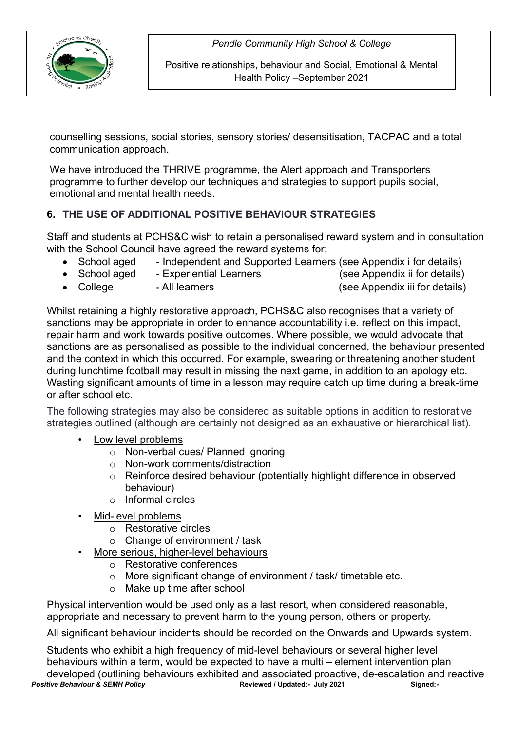

Positive relationships, behaviour and Social, Emotional & Mental Health Policy –September 2021

counselling sessions, social stories, sensory stories/ desensitisation, TACPAC and a total communication approach.

We have introduced the THRIVE programme, the Alert approach and Transporters programme to further develop our techniques and strategies to support pupils social, emotional and mental health needs.

# **6. THE USE OF ADDITIONAL POSITIVE BEHAVIOUR STRATEGIES**

Staff and students at PCHS&C wish to retain a personalised reward system and in consultation with the School Council have agreed the reward systems for:

- School aged Independent and Supported Learners (see Appendix i for details)
- School aged Experiential Learners (see Appendix ii for details)
	-

- College All learners (see Appendix iii for details)
- 

Whilst retaining a highly restorative approach, PCHS&C also recognises that a variety of sanctions may be appropriate in order to enhance accountability i.e. reflect on this impact, repair harm and work towards positive outcomes. Where possible, we would advocate that sanctions are as personalised as possible to the individual concerned, the behaviour presented and the context in which this occurred. For example, swearing or threatening another student during lunchtime football may result in missing the next game, in addition to an apology etc. Wasting significant amounts of time in a lesson may require catch up time during a break-time or after school etc.

The following strategies may also be considered as suitable options in addition to restorative strategies outlined (although are certainly not designed as an exhaustive or hierarchical list).

- Low level problems
	- o Non-verbal cues/ Planned ignoring
	- o Non-work comments/distraction
	- o Reinforce desired behaviour (potentially highlight difference in observed behaviour)
	- o Informal circles
- Mid-level problems
	- o Restorative circles
	- $\circ$  Change of environment / task
- More serious, higher-level behaviours
	- o Restorative conferences
	- ⊙ More significant change of environment / task/ timetable etc.<br>○ Make up time after school
	- Make up time after school

Physical intervention would be used only as a last resort, when considered reasonable, appropriate and necessary to prevent harm to the young person, others or property.

All significant behaviour incidents should be recorded on the Onwards and Upwards system.

*Positive Behaviour & SEMH Policy* **Reviewed / Updated:- July 2021 Signed:-** Students who exhibit a high frequency of mid-level behaviours or several higher level behaviours within a term, would be expected to have a multi – element intervention plan developed (outlining behaviours exhibited and associated proactive, de-escalation and reactive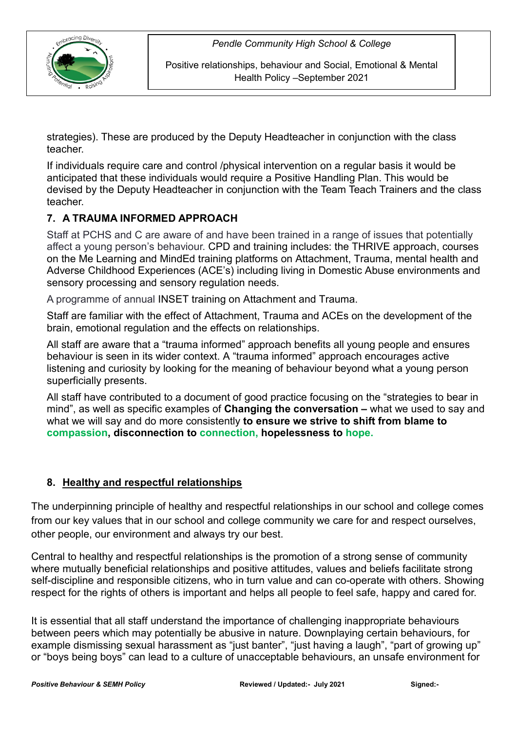

Positive relationships, behaviour and Social, Emotional & Mental Health Policy –September 2021

strategies). These are produced by the Deputy Headteacher in conjunction with the class teacher.

If individuals require care and control /physical intervention on a regular basis it would be anticipated that these individuals would require a Positive Handling Plan. This would be devised by the Deputy Headteacher in conjunction with the Team Teach Trainers and the class teacher.

# **7. A TRAUMA INFORMED APPROACH**

Staff at PCHS and C are aware of and have been trained in a range of issues that potentially affect a young person's behaviour. CPD and training includes: the THRIVE approach, courses on the Me Learning and MindEd training platforms on Attachment, Trauma, mental health and Adverse Childhood Experiences (ACE's) including living in Domestic Abuse environments and sensory processing and sensory regulation needs.

A programme of annual INSET training on Attachment and Trauma.

Staff are familiar with the effect of Attachment, Trauma and ACEs on the development of the brain, emotional regulation and the effects on relationships.

All staff are aware that a "trauma informed" approach benefits all young people and ensures behaviour is seen in its wider context. A "trauma informed" approach encourages active listening and curiosity by looking for the meaning of behaviour beyond what a young person superficially presents.

All staff have contributed to a document of good practice focusing on the "strategies to bear in mind", as well as specific examples of **Changing the conversation –** what we used to say and what we will say and do more consistently **to ensure we strive to shift from blame to compassion, disconnection to connection, hopelessness to hope.**

### **8. Healthy and respectful relationships**

The underpinning principle of healthy and respectful relationships in our school and college comes from our key values that in our school and college community we care for and respect ourselves, other people, our environment and always try our best.

Central to healthy and respectful relationships is the promotion of a strong sense of community where mutually beneficial relationships and positive attitudes, values and beliefs facilitate strong self-discipline and responsible citizens, who in turn value and can co-operate with others. Showing respect for the rights of others is important and helps all people to feel safe, happy and cared for.

It is essential that all staff understand the importance of challenging inappropriate behaviours between peers which may potentially be abusive in nature. Downplaying certain behaviours, for example dismissing sexual harassment as "just banter", "just having a laugh", "part of growing up" or "boys being boys" can lead to a culture of unacceptable behaviours, an unsafe environment for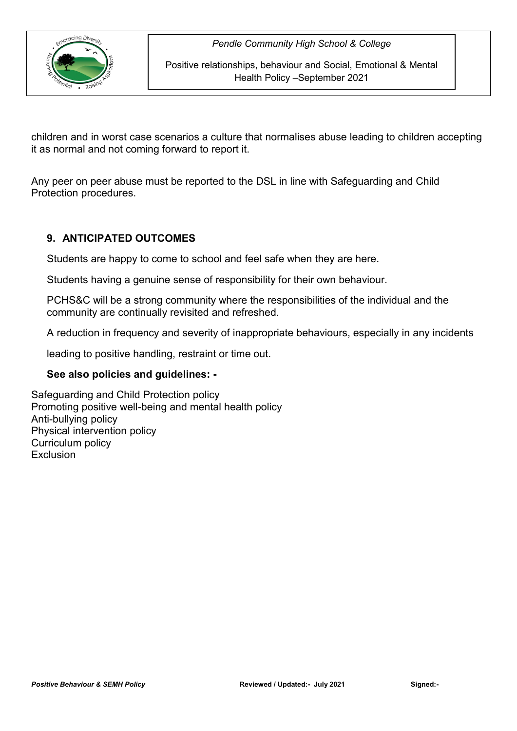

Positive relationships, behaviour and Social, Emotional & Mental Health Policy –September 2021

children and in worst case scenarios a culture that normalises abuse leading to children accepting it as normal and not coming forward to report it.

Any peer on peer abuse must be reported to the DSL in line with Safeguarding and Child Protection procedures.

### **9. ANTICIPATED OUTCOMES**

Students are happy to come to school and feel safe when they are here.

Students having a genuine sense of responsibility for their own behaviour.

PCHS&C will be a strong community where the responsibilities of the individual and the community are continually revisited and refreshed.

A reduction in frequency and severity of inappropriate behaviours, especially in any incidents

leading to positive handling, restraint or time out.

#### **See also policies and guidelines: -**

Safeguarding and Child Protection policy Promoting positive well-being and mental health policy Anti-bullying policy Physical intervention policy Curriculum policy Exclusion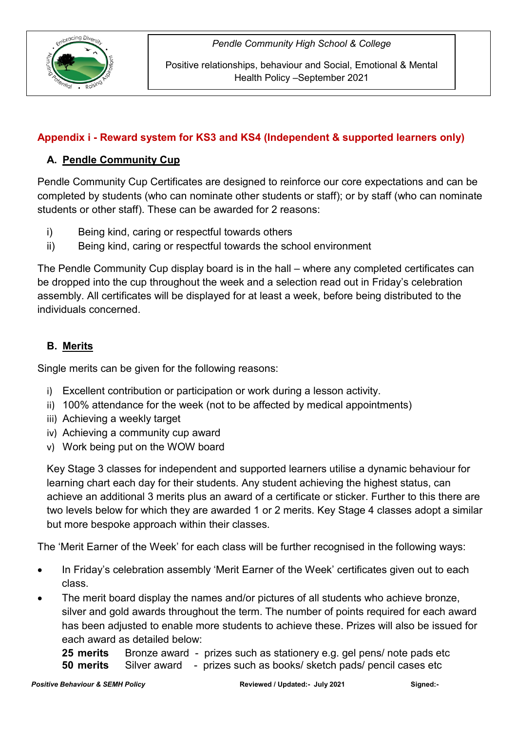

# **Appendix i - Reward system for KS3 and KS4 (Independent & supported learners only)**

# **A. Pendle Community Cup**

Pendle Community Cup Certificates are designed to reinforce our core expectations and can be completed by students (who can nominate other students or staff); or by staff (who can nominate students or other staff). These can be awarded for 2 reasons:

- i) Being kind, caring or respectful towards others
- ii) Being kind, caring or respectful towards the school environment

The Pendle Community Cup display board is in the hall – where any completed certificates can be dropped into the cup throughout the week and a selection read out in Friday's celebration assembly. All certificates will be displayed for at least a week, before being distributed to the individuals concerned.

# **B. Merits**

Single merits can be given for the following reasons:

- i) Excellent contribution or participation or work during a lesson activity.
- ii) 100% attendance for the week (not to be affected by medical appointments)
- iii) Achieving a weekly target
- iv) Achieving a community cup award
- v) Work being put on the WOW board

Key Stage 3 classes for independent and supported learners utilise a dynamic behaviour for learning chart each day for their students. Any student achieving the highest status, can achieve an additional 3 merits plus an award of a certificate or sticker. Further to this there are two levels below for which they are awarded 1 or 2 merits. Key Stage 4 classes adopt a similar but more bespoke approach within their classes.

The 'Merit Earner of the Week' for each class will be further recognised in the following ways:

- In Friday's celebration assembly 'Merit Earner of the Week' certificates given out to each class.
- The merit board display the names and/or pictures of all students who achieve bronze, silver and gold awards throughout the term. The number of points required for each award has been adjusted to enable more students to achieve these. Prizes will also be issued for each award as detailed below:

**25 merits** Bronze award - prizes such as stationery e.g. gel pens/ note pads etc **50 merits** Silver award - prizes such as books/ sketch pads/ pencil cases etc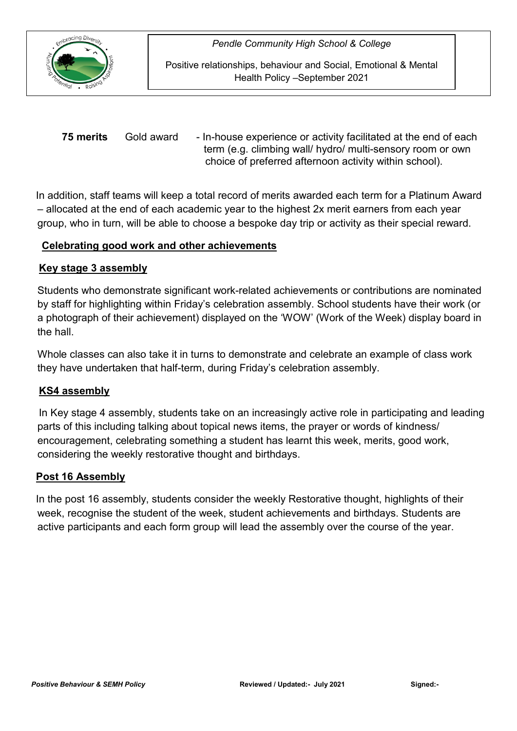

Positive relationships, behaviour and Social, Emotional & Mental Health Policy –September 2021

**75 merits** Gold award - In-house experience or activity facilitated at the end of each term (e.g. climbing wall/ hydro/ multi-sensory room or own choice of preferred afternoon activity within school).

 In addition, staff teams will keep a total record of merits awarded each term for a Platinum Award – allocated at the end of each academic year to the highest 2x merit earners from each year group, who in turn, will be able to choose a bespoke day trip or activity as their special reward.

### **Celebrating good work and other achievements**

#### **Key stage 3 assembly**

Students who demonstrate significant work-related achievements or contributions are nominated by staff for highlighting within Friday's celebration assembly. School students have their work (or a photograph of their achievement) displayed on the 'WOW' (Work of the Week) display board in the hall.

Whole classes can also take it in turns to demonstrate and celebrate an example of class work they have undertaken that half-term, during Friday's celebration assembly.

### **KS4 assembly**

 In Key stage 4 assembly, students take on an increasingly active role in participating and leading parts of this including talking about topical news items, the prayer or words of kindness/ encouragement, celebrating something a student has learnt this week, merits, good work, considering the weekly restorative thought and birthdays.

#### **Post 16 Assembly**

 In the post 16 assembly, students consider the weekly Restorative thought, highlights of their week, recognise the student of the week, student achievements and birthdays. Students are active participants and each form group will lead the assembly over the course of the year.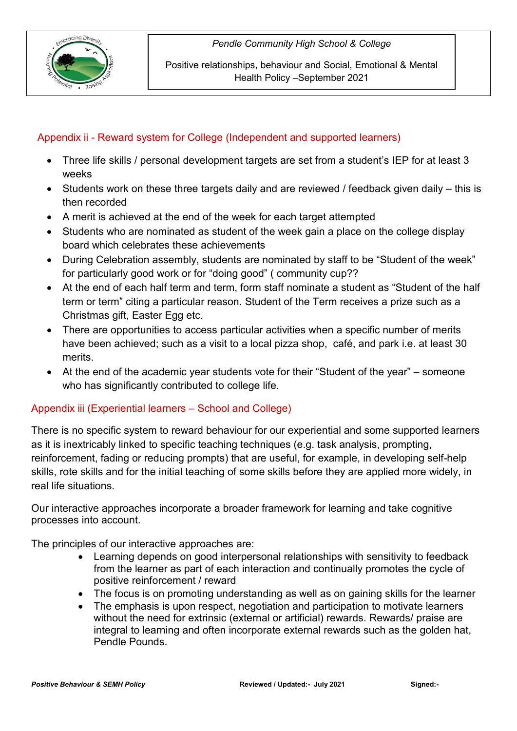

Positive relationships, behaviour and Social, Emotional & Mental Health Policy –September 2021

# Appendix ii - Reward system for College (Independent and supported learners)

- Three life skills / personal development targets are set from a student's IEP for at least 3 weeks
- Students work on these three targets daily and are reviewed / feedback given daily this is then recorded
- A merit is achieved at the end of the week for each target attempted
- Students who are nominated as student of the week gain a place on the college display board which celebrates these achievements
- During Celebration assembly, students are nominated by staff to be "Student of the week" for particularly good work or for "doing good" ( community cup??
- At the end of each half term and term, form staff nominate a student as "Student of the half term or term" citing a particular reason. Student of the Term receives a prize such as a Christmas gift, Easter Egg etc.
- There are opportunities to access particular activities when a specific number of merits have been achieved; such as a visit to a local pizza shop, café, and park i.e. at least 30 merits.
- At the end of the academic year students vote for their "Student of the year" someone who has significantly contributed to college life.

### Appendix iii (Experiential learners – School and College)

There is no specific system to reward behaviour for our experiential and some supported learners as it is inextricably linked to specific teaching techniques (e.g. task analysis, prompting, reinforcement, fading or reducing prompts) that are useful, for example, in developing self-help skills, rote skills and for the initial teaching of some skills before they are applied more widely, in real life situations.

Our interactive approaches incorporate a broader framework for learning and take cognitive processes into account.

The principles of our interactive approaches are:

- Learning depends on good interpersonal relationships with sensitivity to feedback from the learner as part of each interaction and continually promotes the cycle of positive reinforcement / reward
- The focus is on promoting understanding as well as on gaining skills for the learner
- The emphasis is upon respect, negotiation and participation to motivate learners without the need for extrinsic (external or artificial) rewards. Rewards/ praise are integral to learning and often incorporate external rewards such as the golden hat, Pendle Pounds.